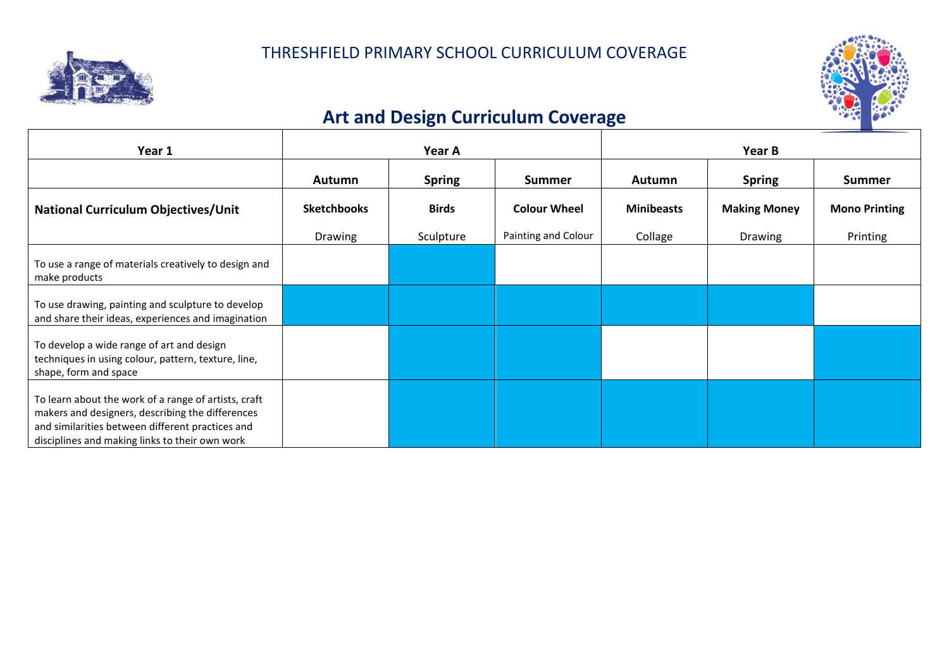



## **Art and Design Curriculum Coverage**

| Year 1                                                                                                                                                                                                         | Year A             |               |                     | Year B            |                     |                      |
|----------------------------------------------------------------------------------------------------------------------------------------------------------------------------------------------------------------|--------------------|---------------|---------------------|-------------------|---------------------|----------------------|
|                                                                                                                                                                                                                | <b>Autumn</b>      | <b>Spring</b> | <b>Summer</b>       | <b>Autumn</b>     | <b>Spring</b>       | <b>Summer</b>        |
| <b>National Curriculum Objectives/Unit</b>                                                                                                                                                                     | <b>Sketchbooks</b> | <b>Birds</b>  | <b>Colour Wheel</b> | <b>Minibeasts</b> | <b>Making Money</b> | <b>Mono Printing</b> |
|                                                                                                                                                                                                                | <b>Drawing</b>     | Sculpture     | Painting and Colour | Collage           | Drawing             | Printing             |
| To use a range of materials creatively to design and<br>make products                                                                                                                                          |                    |               |                     |                   |                     |                      |
| To use drawing, painting and sculpture to develop<br>and share their ideas, experiences and imagination                                                                                                        |                    |               |                     |                   |                     |                      |
| To develop a wide range of art and design<br>techniques in using colour, pattern, texture, line,<br>shape, form and space                                                                                      |                    |               |                     |                   |                     |                      |
| To learn about the work of a range of artists, craft<br>makers and designers, describing the differences<br>and similarities between different practices and<br>disciplines and making links to their own work |                    |               |                     |                   |                     |                      |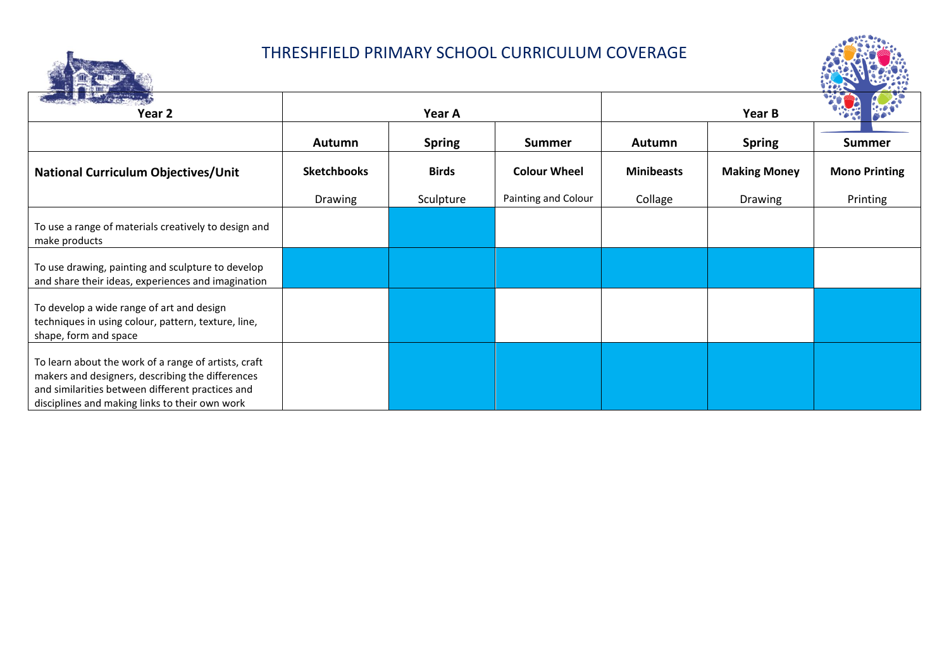## THRESHFIELD PRIMARY SCHOOL CURRICULUM COVERAGE



|                                                                                                                                                                                                                |                    |               |                     |                   |                     | <b>HAMES</b>         |
|----------------------------------------------------------------------------------------------------------------------------------------------------------------------------------------------------------------|--------------------|---------------|---------------------|-------------------|---------------------|----------------------|
| Straight waters was<br>Year 2                                                                                                                                                                                  |                    | Year A        |                     |                   | Year B              |                      |
|                                                                                                                                                                                                                | <b>Autumn</b>      | <b>Spring</b> | <b>Summer</b>       | <b>Autumn</b>     | <b>Spring</b>       | <b>Summer</b>        |
| <b>National Curriculum Objectives/Unit</b>                                                                                                                                                                     | <b>Sketchbooks</b> | <b>Birds</b>  | <b>Colour Wheel</b> | <b>Minibeasts</b> | <b>Making Money</b> | <b>Mono Printing</b> |
|                                                                                                                                                                                                                | Drawing            | Sculpture     | Painting and Colour | Collage           | Drawing             | Printing             |
| To use a range of materials creatively to design and<br>make products                                                                                                                                          |                    |               |                     |                   |                     |                      |
| To use drawing, painting and sculpture to develop<br>and share their ideas, experiences and imagination                                                                                                        |                    |               |                     |                   |                     |                      |
| To develop a wide range of art and design<br>techniques in using colour, pattern, texture, line,<br>shape, form and space                                                                                      |                    |               |                     |                   |                     |                      |
| To learn about the work of a range of artists, craft<br>makers and designers, describing the differences<br>and similarities between different practices and<br>disciplines and making links to their own work |                    |               |                     |                   |                     |                      |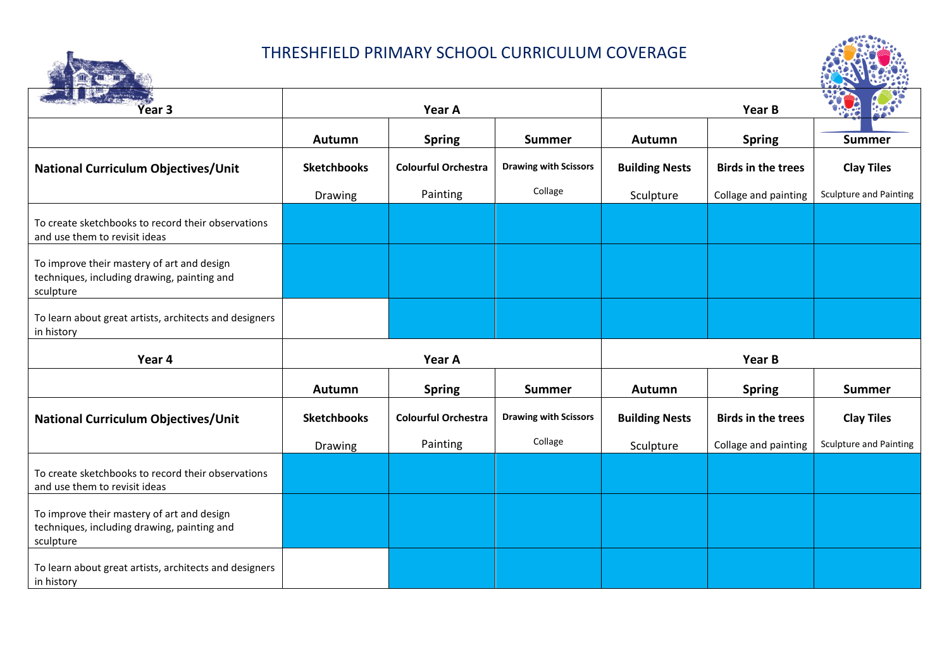## THRESHFIELD PRIMARY SCHOOL CURRICULUM COVERAGE